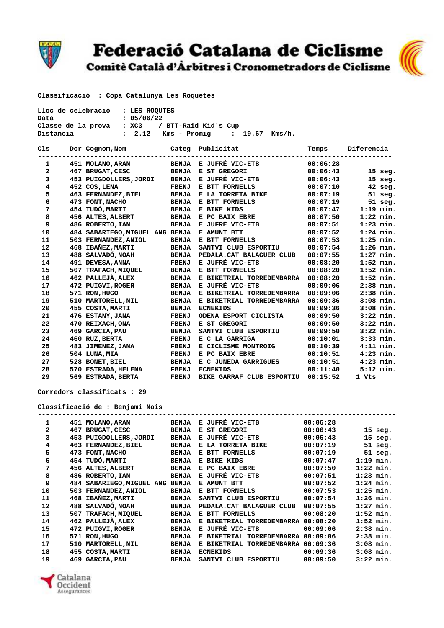

## Federació Catalana de Ciclisme<br>Comitè Català d'Àrbitres i Cronometradors de Ciclisme



 **Classificació : Copa Catalunya Les Roquetes** 

| Lloc de celebració : LES ROOUTES |                                       |  |  |  |  |  |
|----------------------------------|---------------------------------------|--|--|--|--|--|
| Data                             | : 05/06/22                            |  |  |  |  |  |
| Classe de la prova               | : XC3 / BTT-Raid Kid's Cup            |  |  |  |  |  |
| Distancia                        | : 2.12 Kms – Promig    : 19.67 Kms/h. |  |  |  |  |  |

| Cls | Dor Cognom, Nom                 |              | Categ Publicitat          | Temps    | Diferencia  |
|-----|---------------------------------|--------------|---------------------------|----------|-------------|
| 1   | 451 MOLANO, ARAN                | <b>BENJA</b> | E JUFRÉ VIC-ETB           | 00:06:28 |             |
| 2   | 467 BRUGAT, CESC                | <b>BENJA</b> | E ST GREGORI              | 00:06:43 | $15$ seg.   |
| 3   | 453 PUIGDOLLERS, JORDI          | <b>BENJA</b> | E JUFRÉ VIC-ETB           | 00:06:43 | $15$ seg.   |
| 4   | 452 COS, LENA                   | <b>FBENJ</b> | E BTT FORNELLS            | 00:07:10 | $42$ seg.   |
| 5   | 463 FERNANDEZ, BIEL             | <b>BENJA</b> | E LA TORRETA BIKE         | 00:07:19 | 51 seg.     |
| 6   | 473 FONT, NACHO                 | <b>BENJA</b> | E BTT FORNELLS            | 00:07:19 | $51$ seg.   |
| 7   | 454 TUDÓ, MARTI                 | <b>BENJA</b> | E BIKE KIDS               | 00:07:47 | $1:19$ min. |
| 8   | 456 ALTES, ALBERT               | <b>BENJA</b> | E PC BAIX EBRE            | 00:07:50 | $1:22$ min. |
| 9   | 486 ROBERTO, IAN                | <b>BENJA</b> | E JUFRÉ VIC-ETB           | 00:07:51 | $1:23$ min. |
| 10  | 484 SABARIEGO, MIGUEL ANG BENJA |              | E AMUNT BTT               | 00:07:52 | $1:24$ min. |
| 11  | 503 FERNANDEZ, ANIOL            | <b>BENJA</b> | E BTT FORNELLS            | 00:07:53 | $1:25$ min. |
| 12  | 468 IBAÑEZ, MARTI               | <b>BENJA</b> | SANTVI CLUB ESPORTIU      | 00:07:54 | $1:26$ min. |
| 13  | 488 SALVADÓ, NOAH               | <b>BENJA</b> | PEDALA. CAT BALAGUER CLUB | 00:07:55 | $1:27$ min. |
| 14  | 491 DEVESA, ANNA                | <b>FBENJ</b> | E JUFRÉ VIC-ETB           | 00:08:20 | $1:52$ min. |
| 15  | 507 TRAFACH, MIOUEL             | <b>BENJA</b> | E BTT FORNELLS            | 00:08:20 | $1:52$ min. |
| 16  | 462 PALLEJÀ, ALEX               | <b>BENJA</b> | E BIKETRIAL TORREDEMBARRA | 00:08:20 | $1:52$ min. |
| 17  | 472 PUIGVI, ROGER               | <b>BENJA</b> | E JUFRÉ VIC-ETB           | 00:09:06 | $2:38$ min. |
| 18  | 571 RON, HUGO                   | <b>BENJA</b> | E BIKETRIAL TORREDEMBARRA | 00:09:06 | $2:38$ min. |
| 19  | 510 MARTORELL, NIL              | <b>BENJA</b> | E BIKETRIAL TORREDEMBARRA | 00:09:36 | $3:08$ min. |
| 20  | 455 COSTA, MARTI                | <b>BENJA</b> | <b>ECNEKIDS</b>           | 00:09:36 | $3:08$ min. |
| 21  | 476 ESTANY, JANA                | <b>FBENJ</b> | ODENA ESPORT CICLISTA     | 00:09:50 | $3:22$ min. |
| 22  | 470 REIXACH, ONA                | FBENJ        | E ST GREGORI              | 00:09:50 | $3:22$ min. |
| 23  | 469 GARCIA, PAU                 | <b>BENJA</b> | SANTVI CLUB ESPORTIU      | 00:09:50 | $3:22$ min. |
| 24  | 460 RUZ, BERTA                  | <b>FBENJ</b> | E C LA GARRIGA            | 00:10:01 | $3:33$ min. |
| 25  | 483 JIMENEZ, JANA               | <b>FBENJ</b> | E CICLISME MONTROIG       | 00:10:39 | $4:11$ min. |
| 26  | 504 LUNA, MIA                   | <b>FBENJ</b> | E PC BAIX EBRE            | 00:10:51 | $4:23$ min. |
| 27  | 528 BONET, BIEL                 | <b>BENJA</b> | E C JUNEDA GARRIGUES      | 00:10:51 | $4:23$ min. |
| 28  | 570 ESTRADA, HELENA             | <b>FBENJ</b> | <b>ECNEKIDS</b>           | 00:11:40 | $5:12$ min. |
| 29  | 569 ESTRADA, BERTA              | <b>FBENJ</b> | BIKE GARRAF CLUB ESPORTIU | 00:15:52 | 1 Vts       |

 **Corredors classificats : 29** 

 **Classificació de : Benjami Nois** 

| 1            |     | 451 MOLANO, ARAN          | <b>BENJA</b> | E JUFRÉ VIC-ETB                       | 00:06:28 |             |
|--------------|-----|---------------------------|--------------|---------------------------------------|----------|-------------|
| $\mathbf{2}$ | 467 | <b>BRUGAT, CESC</b>       | <b>BENJA</b> | E ST GREGORI                          | 00:06:43 | $15$ seg.   |
| 3            |     | 453 PUIGDOLLERS, JORDI    | <b>BENJA</b> | E JUFRÉ VIC-ETB                       | 00:06:43 | $15$ seg.   |
| 4            | 463 | <b>FERNANDEZ, BIEL</b>    | <b>BENJA</b> | E LA TORRETA BIKE                     | 00:07:19 | $51$ seg.   |
| 5            | 473 | <b>FONT, NACHO</b>        | <b>BENJA</b> | E BTT FORNELLS                        | 00:07:19 | $51$ seg.   |
| 6            |     | 454 TUDÓ, MARTI           | <b>BENJA</b> | E BIKE KIDS                           | 00:07:47 | $1:19$ min. |
| 7            |     | 456 ALTES, ALBERT         | <b>BENJA</b> | E PC BAIX EBRE                        | 00:07:50 | $1:22$ min. |
| 8            |     | 486 ROBERTO, IAN          | <b>BENJA</b> | E JUFRÉ VIC-ETB                       | 00:07:51 | $1:23$ min. |
| 9            |     | 484 SABARIEGO, MIGUEL ANG | <b>BENJA</b> | E AMUNT BTT                           | 00:07:52 | $1:24$ min. |
| 10           | 503 | <b>FERNANDEZ, ANIOL</b>   | <b>BENJA</b> | E BTT FORNELLS                        | 00:07:53 | $1:25$ min. |
| 11           | 468 | IBAÑEZ, MARTI             | <b>BENJA</b> | SANTVI CLUB ESPORTIU                  | 00:07:54 | $1:26$ min. |
| 12           | 488 | <b>SALVADÓ, NOAH</b>      | <b>BENJA</b> | PEDALA. CAT BALAGUER CLUB             | 00:07:55 | $1:27$ min. |
| 13           | 507 | TRAFACH, MIQUEL           | <b>BENJA</b> | E BTT FORNELLS                        | 00:08:20 | $1:52$ min. |
| 14           |     | 462 PALLEJÀ, ALEX         | <b>BENJA</b> | E BIKETRIAL TORREDEMBARRA             | 00:08:20 | $1:52$ min. |
| 15           | 472 | <b>PUIGVI, ROGER</b>      | <b>BENJA</b> | E JUFRÉ VIC-ETB                       | 00:09:06 | $2:38$ min. |
| 16           | 571 | RON, HUGO                 | <b>BENJA</b> | TORREDEMBARRA<br>E BIKETRIAL          | 00:09:06 | $2:38$ min. |
| 17           | 510 | MARTORELL, NIL            | <b>BENJA</b> | TORREDEMBARRA 00:09:36<br>E BIKETRIAL |          | $3:08$ min. |
| 18           | 455 | <b>COSTA, MARTI</b>       | <b>BENJA</b> | <b>ECNEKIDS</b>                       | 00:09:36 | $3:08$ min. |
| 19           | 469 | <b>GARCIA, PAU</b>        | <b>BENJA</b> | SANTVI CLUB<br><b>ESPORTIU</b>        | 00:09:50 | $3:22$ min. |
|              |     |                           |              |                                       |          |             |